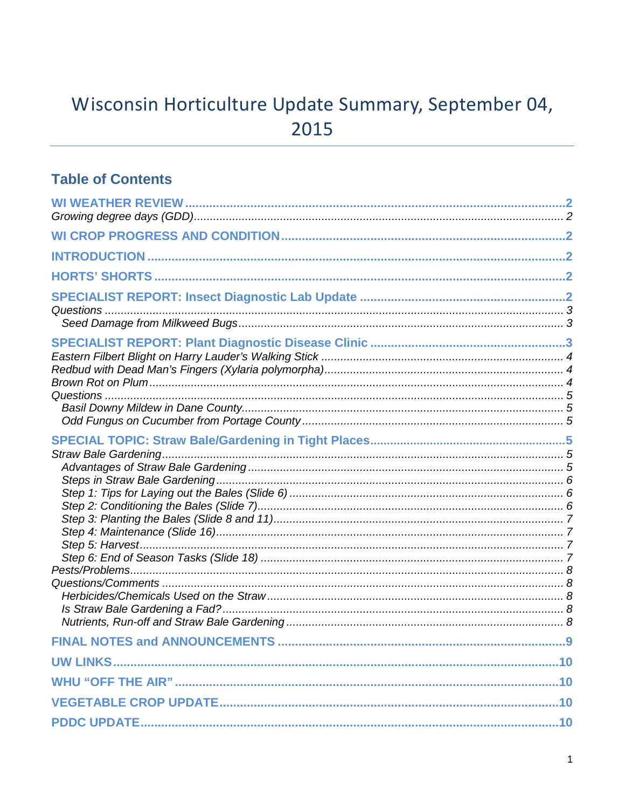# Wisconsin Horticulture Update Summary, September 04, 2015

### **Table of Contents**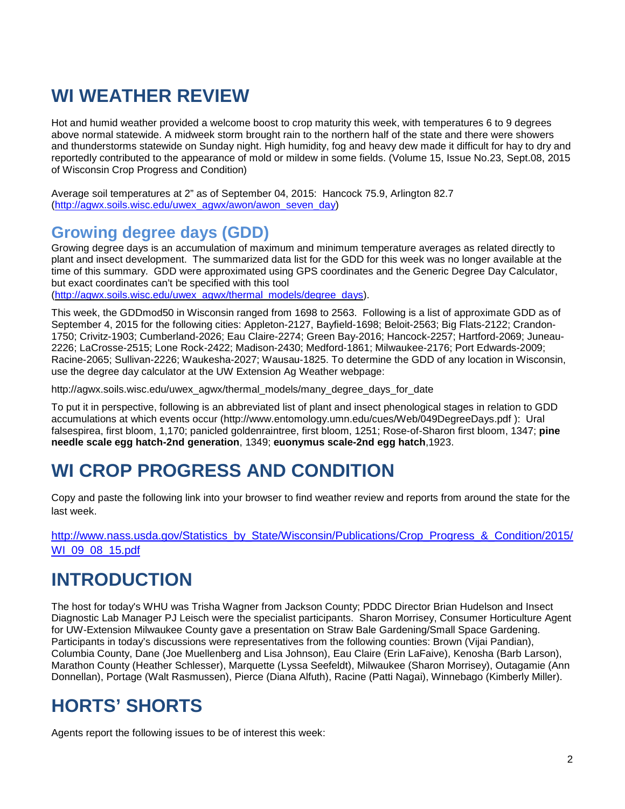# **WI WEATHER REVIEW**

Hot and humid weather provided a welcome boost to crop maturity this week, with temperatures 6 to 9 degrees above normal statewide. A midweek storm brought rain to the northern half of the state and there were showers and thunderstorms statewide on Sunday night. High humidity, fog and heavy dew made it difficult for hay to dry and reportedly contributed to the appearance of mold or mildew in some fields. (Volume 15, Issue No.23, Sept.08, 2015 of Wisconsin Crop Progress and Condition)

Average soil temperatures at 2" as of September 04, 2015: Hancock 75.9, Arlington 82.7 [\(http://agwx.soils.wisc.edu/uwex\\_agwx/awon/awon\\_seven\\_day\)](http://agwx.soils.wisc.edu/uwex_agwx/awon/awon_seven_day)

### **Growing degree days (GDD)**

Growing degree days is an accumulation of maximum and minimum temperature averages as related directly to plant and insect development. The summarized data list for the GDD for this week was no longer available at the time of this summary. GDD were approximated using GPS coordinates and the Generic Degree Day Calculator, but exact coordinates can't be specified with this tool

[\(http://agwx.soils.wisc.edu/uwex\\_agwx/thermal\\_models/degree\\_days\)](http://agwx.soils.wisc.edu/uwex_agwx/thermal_models/degree_days).

This week, the GDDmod50 in Wisconsin ranged from 1698 to 2563. Following is a list of approximate GDD as of September 4, 2015 for the following cities: Appleton-2127, Bayfield-1698; Beloit-2563; Big Flats-2122; Crandon-1750; Crivitz-1903; Cumberland-2026; Eau Claire-2274; Green Bay-2016; Hancock-2257; Hartford-2069; Juneau-2226; LaCrosse-2515; Lone Rock-2422; Madison-2430; Medford-1861; Milwaukee-2176; Port Edwards-2009; Racine-2065; Sullivan-2226; Waukesha-2027; Wausau-1825. To determine the GDD of any location in Wisconsin, use the degree day calculator at the UW Extension Ag Weather webpage:

http://agwx.soils.wisc.edu/uwex\_agwx/thermal\_models/many\_degree\_days\_for\_date

To put it in perspective, following is an abbreviated list of plant and insect phenological stages in relation to GDD accumulations at which events occur (http://www.entomology.umn.edu/cues/Web/049DegreeDays.pdf ): Ural falsespirea, first bloom, 1,170; panicled goldenraintree, first bloom, 1251; Rose-of-Sharon first bloom, 1347; **pine needle scale egg hatch-2nd generation**, 1349; **euonymus scale-2nd egg hatch**,1923.

## **WI CROP PROGRESS AND CONDITION**

Copy and paste the following link into your browser to find weather review and reports from around the state for the last week.

[http://www.nass.usda.gov/Statistics\\_by\\_State/Wisconsin/Publications/Crop\\_Progress\\_&\\_Condition/2015/](http://www.nass.usda.gov/Statistics_by_State/Wisconsin/Publications/Crop_Progress_&_Condition/2015/WI_09_08_15.pdf) [WI\\_09\\_08\\_15.pdf](http://www.nass.usda.gov/Statistics_by_State/Wisconsin/Publications/Crop_Progress_&_Condition/2015/WI_09_08_15.pdf)

## **INTRODUCTION**

The host for today's WHU was Trisha Wagner from Jackson County; PDDC Director Brian Hudelson and Insect Diagnostic Lab Manager PJ Leisch were the specialist participants. Sharon Morrisey, Consumer Horticulture Agent for UW-Extension Milwaukee County gave a presentation on Straw Bale Gardening/Small Space Gardening. Participants in today's discussions were representatives from the following counties: Brown (Vijai Pandian), Columbia County, Dane (Joe Muellenberg and Lisa Johnson), Eau Claire (Erin LaFaive), Kenosha (Barb Larson), Marathon County (Heather Schlesser), Marquette (Lyssa Seefeldt), Milwaukee (Sharon Morrisey), Outagamie (Ann Donnellan), Portage (Walt Rasmussen), Pierce (Diana Alfuth), Racine (Patti Nagai), Winnebago (Kimberly Miller).

# **HORTS' SHORTS**

Agents report the following issues to be of interest this week: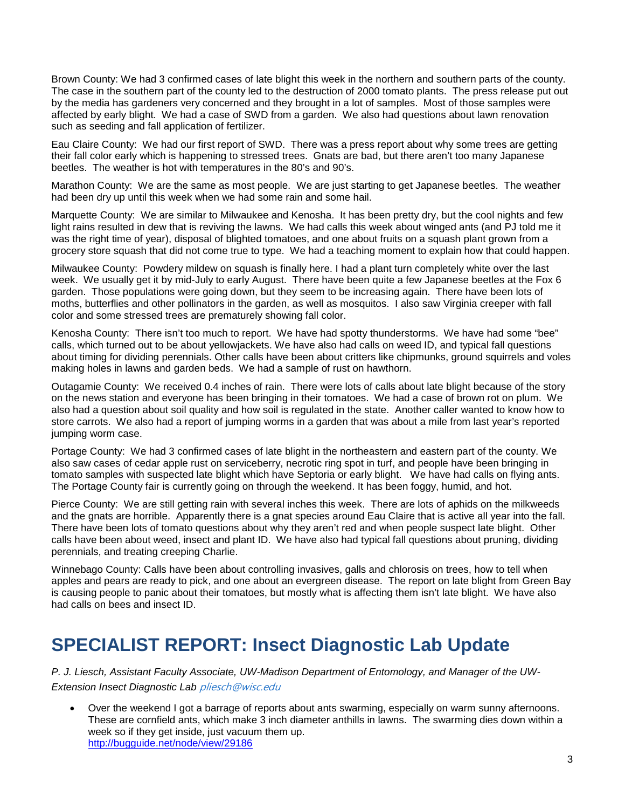Brown County: We had 3 confirmed cases of late blight this week in the northern and southern parts of the county. The case in the southern part of the county led to the destruction of 2000 tomato plants. The press release put out by the media has gardeners very concerned and they brought in a lot of samples. Most of those samples were affected by early blight. We had a case of SWD from a garden. We also had questions about lawn renovation such as seeding and fall application of fertilizer.

Eau Claire County: We had our first report of SWD. There was a press report about why some trees are getting their fall color early which is happening to stressed trees. Gnats are bad, but there aren't too many Japanese beetles. The weather is hot with temperatures in the 80's and 90's.

Marathon County: We are the same as most people. We are just starting to get Japanese beetles. The weather had been dry up until this week when we had some rain and some hail.

Marquette County: We are similar to Milwaukee and Kenosha. It has been pretty dry, but the cool nights and few light rains resulted in dew that is reviving the lawns. We had calls this week about winged ants (and PJ told me it was the right time of year), disposal of blighted tomatoes, and one about fruits on a squash plant grown from a grocery store squash that did not come true to type. We had a teaching moment to explain how that could happen.

Milwaukee County: Powdery mildew on squash is finally here. I had a plant turn completely white over the last week. We usually get it by mid-July to early August. There have been quite a few Japanese beetles at the Fox 6 garden. Those populations were going down, but they seem to be increasing again. There have been lots of moths, butterflies and other pollinators in the garden, as well as mosquitos. I also saw Virginia creeper with fall color and some stressed trees are prematurely showing fall color.

Kenosha County: There isn't too much to report. We have had spotty thunderstorms. We have had some "bee" calls, which turned out to be about yellowjackets. We have also had calls on weed ID, and typical fall questions about timing for dividing perennials. Other calls have been about critters like chipmunks, ground squirrels and voles making holes in lawns and garden beds. We had a sample of rust on hawthorn.

Outagamie County: We received 0.4 inches of rain. There were lots of calls about late blight because of the story on the news station and everyone has been bringing in their tomatoes. We had a case of brown rot on plum. We also had a question about soil quality and how soil is regulated in the state. Another caller wanted to know how to store carrots. We also had a report of jumping worms in a garden that was about a mile from last year's reported jumping worm case.

Portage County: We had 3 confirmed cases of late blight in the northeastern and eastern part of the county. We also saw cases of cedar apple rust on serviceberry, necrotic ring spot in turf, and people have been bringing in tomato samples with suspected late blight which have Septoria or early blight. We have had calls on flying ants. The Portage County fair is currently going on through the weekend. It has been foggy, humid, and hot.

Pierce County: We are still getting rain with several inches this week. There are lots of aphids on the milkweeds and the gnats are horrible. Apparently there is a gnat species around Eau Claire that is active all year into the fall. There have been lots of tomato questions about why they aren't red and when people suspect late blight. Other calls have been about weed, insect and plant ID. We have also had typical fall questions about pruning, dividing perennials, and treating creeping Charlie.

Winnebago County: Calls have been about controlling invasives, galls and chlorosis on trees, how to tell when apples and pears are ready to pick, and one about an evergreen disease. The report on late blight from Green Bay is causing people to panic about their tomatoes, but mostly what is affecting them isn't late blight. We have also had calls on bees and insect ID.

## **SPECIALIST REPORT: Insect Diagnostic Lab Update**

*P. J. Liesch, Assistant Faculty Associate, UW-Madison Department of Entomology, and Manager of the UW-Extension Insect Diagnostic Lab* [pliesch@wisc.edu](mailto:pliesch@wisc.edu)

• Over the weekend I got a barrage of reports about ants swarming, especially on warm sunny afternoons. These are cornfield ants, which make 3 inch diameter anthills in lawns. The swarming dies down within a week so if they get inside, just vacuum them up. <http://bugguide.net/node/view/29186>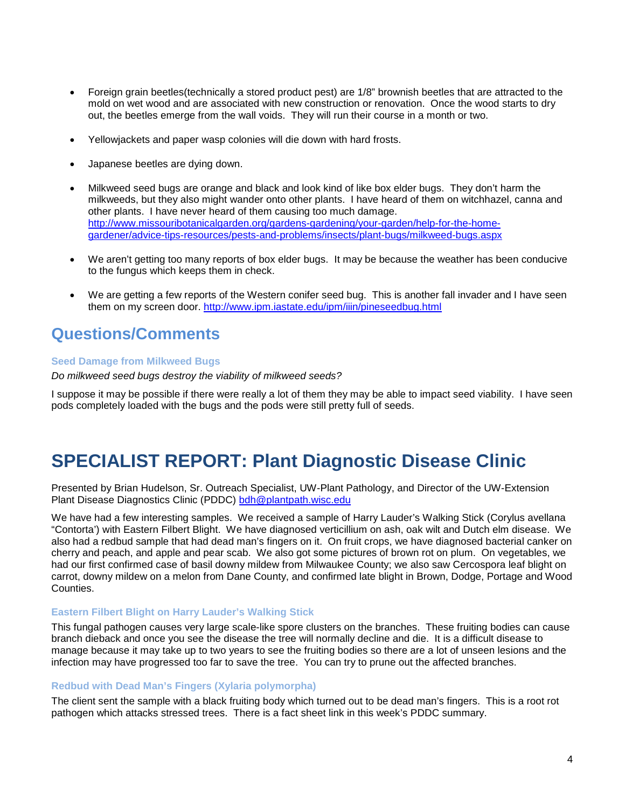- Foreign grain beetles(technically a stored product pest) are 1/8" brownish beetles that are attracted to the mold on wet wood and are associated with new construction or renovation. Once the wood starts to dry out, the beetles emerge from the wall voids. They will run their course in a month or two.
- Yellowjackets and paper wasp colonies will die down with hard frosts.
- Japanese beetles are dying down.
- Milkweed seed bugs are orange and black and look kind of like box elder bugs. They don't harm the milkweeds, but they also might wander onto other plants. I have heard of them on witchhazel, canna and other plants. I have never heard of them causing too much damage. [http://www.missouribotanicalgarden.org/gardens-gardening/your-garden/help-for-the-home](http://www.missouribotanicalgarden.org/gardens-gardening/your-garden/help-for-the-home-gardener/advice-tips-resources/pests-and-problems/insects/plant-bugs/milkweed-bugs.aspx)[gardener/advice-tips-resources/pests-and-problems/insects/plant-bugs/milkweed-bugs.aspx](http://www.missouribotanicalgarden.org/gardens-gardening/your-garden/help-for-the-home-gardener/advice-tips-resources/pests-and-problems/insects/plant-bugs/milkweed-bugs.aspx)
- We aren't getting too many reports of box elder bugs. It may be because the weather has been conducive to the fungus which keeps them in check.
- We are getting a few reports of the Western conifer seed bug. This is another fall invader and I have seen them on my screen door.<http://www.ipm.iastate.edu/ipm/iiin/pineseedbug.html>

### **Questions/Comments**

#### **Seed Damage from Milkweed Bugs**

*Do milkweed seed bugs destroy the viability of milkweed seeds?*

I suppose it may be possible if there were really a lot of them they may be able to impact seed viability. I have seen pods completely loaded with the bugs and the pods were still pretty full of seeds.

### **SPECIALIST REPORT: Plant Diagnostic Disease Clinic**

Presented by Brian Hudelson, Sr. Outreach Specialist, UW-Plant Pathology, and Director of the UW-Extension Plant Disease Diagnostics Clinic (PDDC) [bdh@plantpath.wisc.edu](mailto:bdh@plantpath.wisc.edu)

We have had a few interesting samples. We received a sample of Harry Lauder's Walking Stick (Corylus avellana "Contorta') with Eastern Filbert Blight. We have diagnosed verticillium on ash, oak wilt and Dutch elm disease. We also had a redbud sample that had dead man's fingers on it. On fruit crops, we have diagnosed bacterial canker on cherry and peach, and apple and pear scab. We also got some pictures of brown rot on plum. On vegetables, we had our first confirmed case of basil downy mildew from Milwaukee County; we also saw Cercospora leaf blight on carrot, downy mildew on a melon from Dane County, and confirmed late blight in Brown, Dodge, Portage and Wood Counties.

#### **Eastern Filbert Blight on Harry Lauder's Walking Stick**

This fungal pathogen causes very large scale-like spore clusters on the branches. These fruiting bodies can cause branch dieback and once you see the disease the tree will normally decline and die. It is a difficult disease to manage because it may take up to two years to see the fruiting bodies so there are a lot of unseen lesions and the infection may have progressed too far to save the tree. You can try to prune out the affected branches.

#### **Redbud with Dead Man's Fingers (Xylaria polymorpha)**

The client sent the sample with a black fruiting body which turned out to be dead man's fingers. This is a root rot pathogen which attacks stressed trees. There is a fact sheet link in this week's PDDC summary.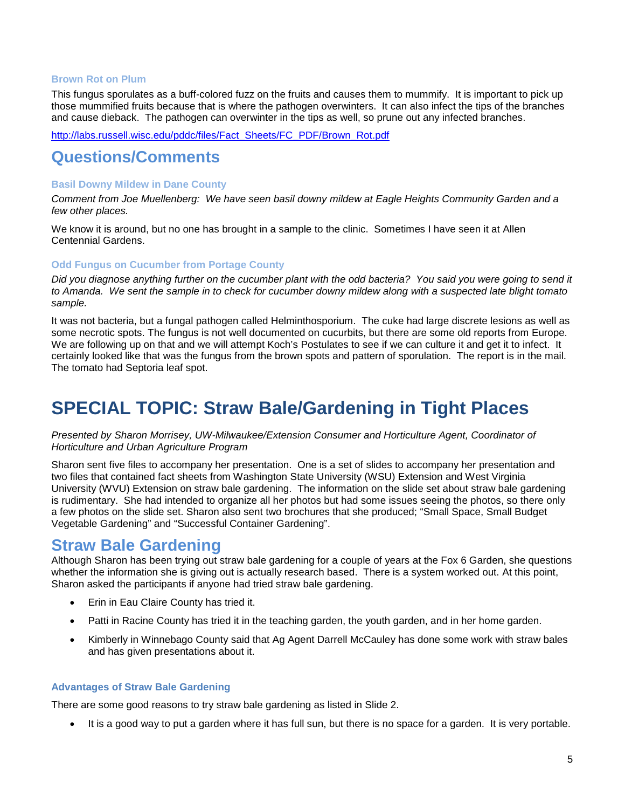#### **Brown Rot on Plum**

This fungus sporulates as a buff-colored fuzz on the fruits and causes them to mummify. It is important to pick up those mummified fruits because that is where the pathogen overwinters. It can also infect the tips of the branches and cause dieback. The pathogen can overwinter in the tips as well, so prune out any infected branches.

[http://labs.russell.wisc.edu/pddc/files/Fact\\_Sheets/FC\\_PDF/Brown\\_Rot.pdf](http://labs.russell.wisc.edu/pddc/files/Fact_Sheets/FC_PDF/Brown_Rot.pdf)

### **Questions/Comments**

#### **Basil Downy Mildew in Dane County**

*Comment from Joe Muellenberg: We have seen basil downy mildew at Eagle Heights Community Garden and a few other places.*

We know it is around, but no one has brought in a sample to the clinic. Sometimes I have seen it at Allen Centennial Gardens.

#### **Odd Fungus on Cucumber from Portage County**

*Did you diagnose anything further on the cucumber plant with the odd bacteria? You said you were going to send it*  to Amanda. We sent the sample in to check for cucumber downy mildew along with a suspected late blight tomato *sample.*

It was not bacteria, but a fungal pathogen called Helminthosporium. The cuke had large discrete lesions as well as some necrotic spots. The fungus is not well documented on cucurbits, but there are some old reports from Europe. We are following up on that and we will attempt Koch's Postulates to see if we can culture it and get it to infect. It certainly looked like that was the fungus from the brown spots and pattern of sporulation. The report is in the mail. The tomato had Septoria leaf spot.

## **SPECIAL TOPIC: Straw Bale/Gardening in Tight Places**

*Presented by Sharon Morrisey, UW-Milwaukee/Extension Consumer and Horticulture Agent, Coordinator of Horticulture and Urban Agriculture Program*

Sharon sent five files to accompany her presentation. One is a set of slides to accompany her presentation and two files that contained fact sheets from Washington State University (WSU) Extension and West Virginia University (WVU) Extension on straw bale gardening. The information on the slide set about straw bale gardening is rudimentary. She had intended to organize all her photos but had some issues seeing the photos, so there only a few photos on the slide set. Sharon also sent two brochures that she produced; "Small Space, Small Budget Vegetable Gardening" and "Successful Container Gardening".

### **Straw Bale Gardening**

Although Sharon has been trying out straw bale gardening for a couple of years at the Fox 6 Garden, she questions whether the information she is giving out is actually research based. There is a system worked out. At this point, Sharon asked the participants if anyone had tried straw bale gardening.

- Erin in Eau Claire County has tried it.
- Patti in Racine County has tried it in the teaching garden, the youth garden, and in her home garden.
- Kimberly in Winnebago County said that Ag Agent Darrell McCauley has done some work with straw bales and has given presentations about it.

#### **Advantages of Straw Bale Gardening**

There are some good reasons to try straw bale gardening as listed in Slide 2.

• It is a good way to put a garden where it has full sun, but there is no space for a garden. It is very portable.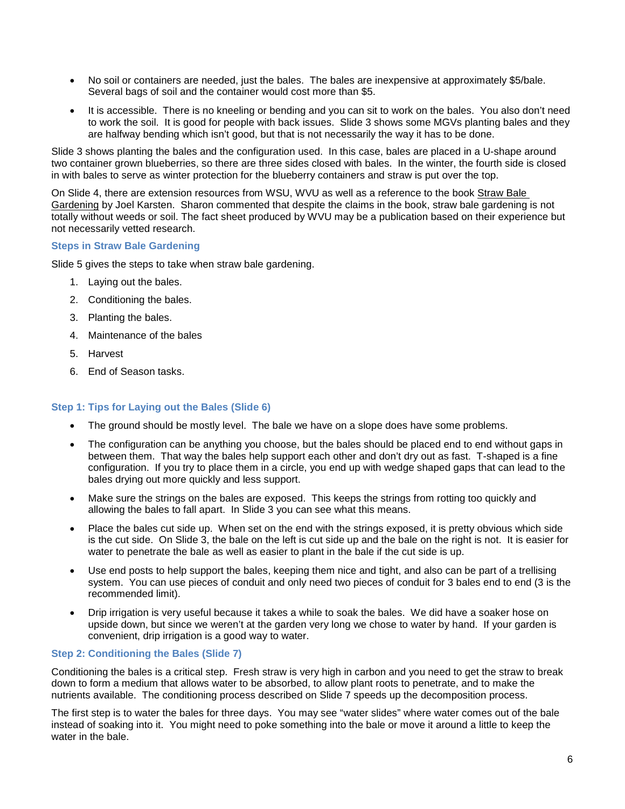- No soil or containers are needed, just the bales. The bales are inexpensive at approximately \$5/bale. Several bags of soil and the container would cost more than \$5.
- It is accessible. There is no kneeling or bending and you can sit to work on the bales. You also don't need to work the soil. It is good for people with back issues. Slide 3 shows some MGVs planting bales and they are halfway bending which isn't good, but that is not necessarily the way it has to be done.

Slide 3 shows planting the bales and the configuration used. In this case, bales are placed in a U-shape around two container grown blueberries, so there are three sides closed with bales. In the winter, the fourth side is closed in with bales to serve as winter protection for the blueberry containers and straw is put over the top.

On Slide 4, there are extension resources from WSU, WVU as well as a reference to the book Straw Bale Gardening by Joel Karsten. Sharon commented that despite the claims in the book, straw bale gardening is not totally without weeds or soil. The fact sheet produced by WVU may be a publication based on their experience but not necessarily vetted research.

#### **Steps in Straw Bale Gardening**

Slide 5 gives the steps to take when straw bale gardening.

- 1. Laying out the bales.
- 2. Conditioning the bales.
- 3. Planting the bales.
- 4. Maintenance of the bales
- 5. Harvest
- 6. End of Season tasks.

#### **Step 1: Tips for Laying out the Bales (Slide 6)**

- The ground should be mostly level. The bale we have on a slope does have some problems.
- The configuration can be anything you choose, but the bales should be placed end to end without gaps in between them. That way the bales help support each other and don't dry out as fast. T-shaped is a fine configuration. If you try to place them in a circle, you end up with wedge shaped gaps that can lead to the bales drying out more quickly and less support.
- Make sure the strings on the bales are exposed. This keeps the strings from rotting too quickly and allowing the bales to fall apart. In Slide 3 you can see what this means.
- Place the bales cut side up. When set on the end with the strings exposed, it is pretty obvious which side is the cut side. On Slide 3, the bale on the left is cut side up and the bale on the right is not. It is easier for water to penetrate the bale as well as easier to plant in the bale if the cut side is up.
- Use end posts to help support the bales, keeping them nice and tight, and also can be part of a trellising system. You can use pieces of conduit and only need two pieces of conduit for 3 bales end to end (3 is the recommended limit).
- Drip irrigation is very useful because it takes a while to soak the bales. We did have a soaker hose on upside down, but since we weren't at the garden very long we chose to water by hand. If your garden is convenient, drip irrigation is a good way to water.

#### **Step 2: Conditioning the Bales (Slide 7)**

Conditioning the bales is a critical step. Fresh straw is very high in carbon and you need to get the straw to break down to form a medium that allows water to be absorbed, to allow plant roots to penetrate, and to make the nutrients available. The conditioning process described on Slide 7 speeds up the decomposition process.

The first step is to water the bales for three days. You may see "water slides" where water comes out of the bale instead of soaking into it. You might need to poke something into the bale or move it around a little to keep the water in the bale.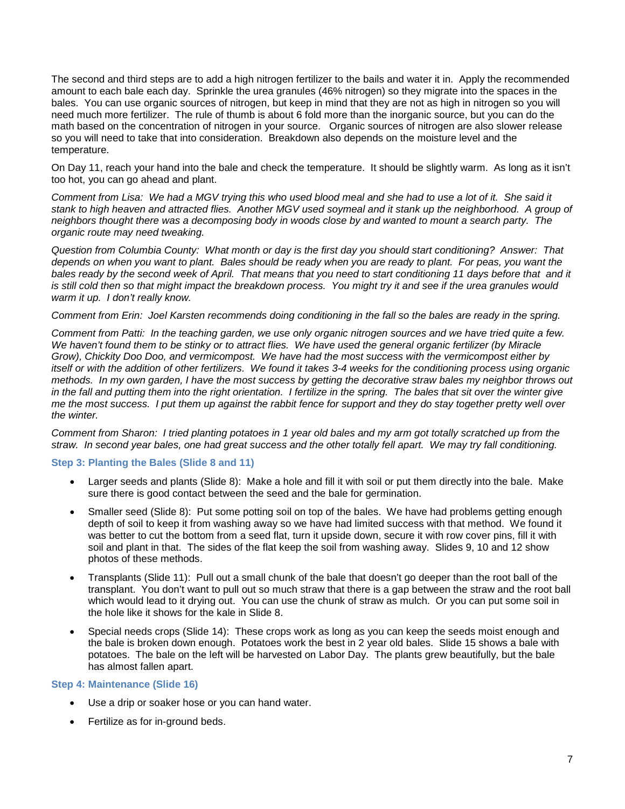The second and third steps are to add a high nitrogen fertilizer to the bails and water it in. Apply the recommended amount to each bale each day. Sprinkle the urea granules (46% nitrogen) so they migrate into the spaces in the bales. You can use organic sources of nitrogen, but keep in mind that they are not as high in nitrogen so you will need much more fertilizer. The rule of thumb is about 6 fold more than the inorganic source, but you can do the math based on the concentration of nitrogen in your source. Organic sources of nitrogen are also slower release so you will need to take that into consideration. Breakdown also depends on the moisture level and the temperature.

On Day 11, reach your hand into the bale and check the temperature. It should be slightly warm. As long as it isn't too hot, you can go ahead and plant.

*Comment from Lisa: We had a MGV trying this who used blood meal and she had to use a lot of it. She said it stank to high heaven and attracted flies. Another MGV used soymeal and it stank up the neighborhood. A group of neighbors thought there was a decomposing body in woods close by and wanted to mount a search party. The organic route may need tweaking.*

*Question from Columbia County: What month or day is the first day you should start conditioning? Answer: That depends on when you want to plant. Bales should be ready when you are ready to plant. For peas, you want the*  bales ready by the second week of April. That means that you need to start conditioning 11 days before that and it is still cold then so that might impact the breakdown process. You might try it and see if the urea granules would *warm it up. I don't really know.*

*Comment from Erin: Joel Karsten recommends doing conditioning in the fall so the bales are ready in the spring.*

*Comment from Patti: In the teaching garden, we use only organic nitrogen sources and we have tried quite a few.*  We haven't found them to be stinky or to attract flies. We have used the general organic fertilizer (by Miracle *Grow), Chickity Doo Doo, and vermicompost. We have had the most success with the vermicompost either by itself or with the addition of other fertilizers. We found it takes 3-4 weeks for the conditioning process using organic methods. In my own garden, I have the most success by getting the decorative straw bales my neighbor throws out in the fall and putting them into the right orientation. I fertilize in the spring. The bales that sit over the winter give me the most success. I put them up against the rabbit fence for support and they do stay together pretty well over the winter.*

*Comment from Sharon: I tried planting potatoes in 1 year old bales and my arm got totally scratched up from the straw. In second year bales, one had great success and the other totally fell apart. We may try fall conditioning.* 

#### **Step 3: Planting the Bales (Slide 8 and 11)**

- Larger seeds and plants (Slide 8): Make a hole and fill it with soil or put them directly into the bale. Make sure there is good contact between the seed and the bale for germination.
- Smaller seed (Slide 8): Put some potting soil on top of the bales. We have had problems getting enough depth of soil to keep it from washing away so we have had limited success with that method. We found it was better to cut the bottom from a seed flat, turn it upside down, secure it with row cover pins, fill it with soil and plant in that. The sides of the flat keep the soil from washing away. Slides 9, 10 and 12 show photos of these methods.
- Transplants (Slide 11): Pull out a small chunk of the bale that doesn't go deeper than the root ball of the transplant. You don't want to pull out so much straw that there is a gap between the straw and the root ball which would lead to it drying out. You can use the chunk of straw as mulch. Or you can put some soil in the hole like it shows for the kale in Slide 8.
- Special needs crops (Slide 14): These crops work as long as you can keep the seeds moist enough and the bale is broken down enough. Potatoes work the best in 2 year old bales. Slide 15 shows a bale with potatoes. The bale on the left will be harvested on Labor Day. The plants grew beautifully, but the bale has almost fallen apart.

#### **Step 4: Maintenance (Slide 16)**

- Use a drip or soaker hose or you can hand water.
- Fertilize as for in-ground beds.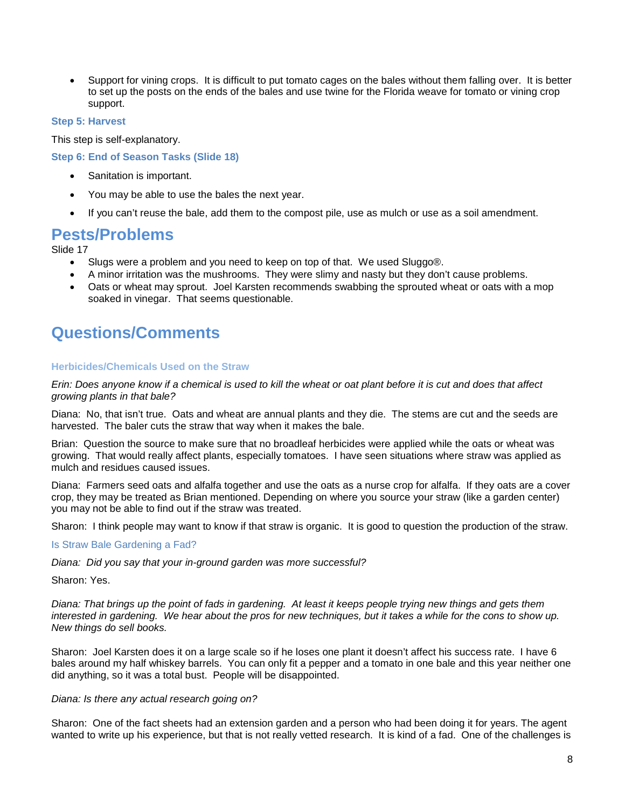• Support for vining crops. It is difficult to put tomato cages on the bales without them falling over. It is better to set up the posts on the ends of the bales and use twine for the Florida weave for tomato or vining crop support.

#### **Step 5: Harvest**

This step is self-explanatory.

**Step 6: End of Season Tasks (Slide 18)**

- Sanitation is important.
- You may be able to use the bales the next year.
- If you can't reuse the bale, add them to the compost pile, use as mulch or use as a soil amendment.

### **Pests/Problems**

Slide 17

- Slugs were a problem and you need to keep on top of that. We used Sluggo®.
- A minor irritation was the mushrooms. They were slimy and nasty but they don't cause problems.
- Oats or wheat may sprout. Joel Karsten recommends swabbing the sprouted wheat or oats with a mop soaked in vinegar. That seems questionable.

### **Questions/Comments**

#### **Herbicides/Chemicals Used on the Straw**

*Erin: Does anyone know if a chemical is used to kill the wheat or oat plant before it is cut and does that affect growing plants in that bale?*

Diana: No, that isn't true. Oats and wheat are annual plants and they die. The stems are cut and the seeds are harvested. The baler cuts the straw that way when it makes the bale.

Brian: Question the source to make sure that no broadleaf herbicides were applied while the oats or wheat was growing. That would really affect plants, especially tomatoes. I have seen situations where straw was applied as mulch and residues caused issues.

Diana: Farmers seed oats and alfalfa together and use the oats as a nurse crop for alfalfa. If they oats are a cover crop, they may be treated as Brian mentioned. Depending on where you source your straw (like a garden center) you may not be able to find out if the straw was treated.

Sharon: I think people may want to know if that straw is organic. It is good to question the production of the straw.

Is Straw Bale Gardening a Fad?

*Diana: Did you say that your in-ground garden was more successful?* 

Sharon: Yes.

*Diana: That brings up the point of fads in gardening. At least it keeps people trying new things and gets them interested in gardening. We hear about the pros for new techniques, but it takes a while for the cons to show up. New things do sell books.*

Sharon: Joel Karsten does it on a large scale so if he loses one plant it doesn't affect his success rate. I have 6 bales around my half whiskey barrels. You can only fit a pepper and a tomato in one bale and this year neither one did anything, so it was a total bust. People will be disappointed.

#### *Diana: Is there any actual research going on?*

Sharon: One of the fact sheets had an extension garden and a person who had been doing it for years. The agent wanted to write up his experience, but that is not really vetted research. It is kind of a fad. One of the challenges is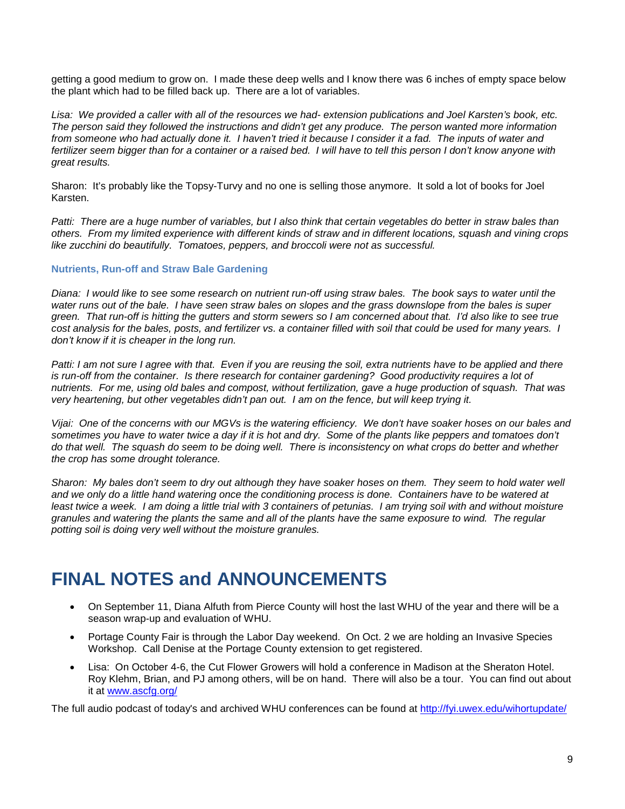getting a good medium to grow on. I made these deep wells and I know there was 6 inches of empty space below the plant which had to be filled back up. There are a lot of variables.

*Lisa: We provided a caller with all of the resources we had- extension publications and Joel Karsten's book, etc. The person said they followed the instructions and didn't get any produce. The person wanted more information*  from someone who had actually done it. I haven't tried it because I consider it a fad. The inputs of water and *fertilizer seem bigger than for a container or a raised bed. I will have to tell this person I don't know anyone with great results.*

Sharon: It's probably like the Topsy-Turvy and no one is selling those anymore. It sold a lot of books for Joel Karsten.

*Patti: There are a huge number of variables, but I also think that certain vegetables do better in straw bales than others. From my limited experience with different kinds of straw and in different locations, squash and vining crops like zucchini do beautifully. Tomatoes, peppers, and broccoli were not as successful.*

#### **Nutrients, Run-off and Straw Bale Gardening**

*Diana: I would like to see some research on nutrient run-off using straw bales. The book says to water until the*  water runs out of the bale. I have seen straw bales on slopes and the grass downslope from the bales is super *green. That run-off is hitting the gutters and storm sewers so I am concerned about that. I'd also like to see true cost analysis for the bales, posts, and fertilizer vs. a container filled with soil that could be used for many years. I don't know if it is cheaper in the long run.* 

*Patti: I am not sure I agree with that. Even if you are reusing the soil, extra nutrients have to be applied and there is run-off from the container. Is there research for container gardening? Good productivity requires a lot of nutrients. For me, using old bales and compost, without fertilization, gave a huge production of squash. That was very heartening, but other vegetables didn't pan out. I am on the fence, but will keep trying it.*

*Vijai: One of the concerns with our MGVs is the watering efficiency. We don't have soaker hoses on our bales and*  sometimes you have to water twice a day if it is hot and dry. Some of the plants like peppers and tomatoes don't *do that well. The squash do seem to be doing well. There is inconsistency on what crops do better and whether the crop has some drought tolerance.*

*Sharon: My bales don't seem to dry out although they have soaker hoses on them. They seem to hold water well and we only do a little hand watering once the conditioning process is done. Containers have to be watered at*  least twice a week. I am doing a little trial with 3 containers of petunias. I am trying soil with and without moisture *granules and watering the plants the same and all of the plants have the same exposure to wind. The regular potting soil is doing very well without the moisture granules.*

### **FINAL NOTES and ANNOUNCEMENTS**

- On September 11, Diana Alfuth from Pierce County will host the last WHU of the year and there will be a season wrap-up and evaluation of WHU.
- Portage County Fair is through the Labor Day weekend. On Oct. 2 we are holding an Invasive Species Workshop. Call Denise at the Portage County extension to get registered.
- Lisa: On October 4-6, the Cut Flower Growers will hold a conference in Madison at the Sheraton Hotel. Roy Klehm, Brian, and PJ among others, will be on hand. There will also be a tour. You can find out about it at [www.ascfg.org/](http://www.ascfg.org/)

The full audio podcast of today's and archived WHU conferences can be found at<http://fyi.uwex.edu/wihortupdate/>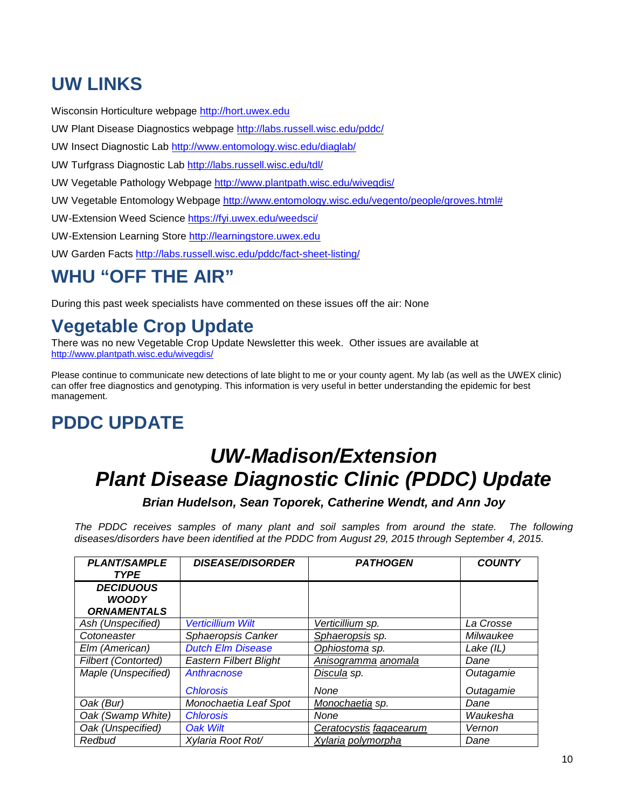## **UW LINKS**

Wisconsin Horticulture webpage [http://hort.uwex.edu](http://hort.uwex.edu/)

UW Plant Disease Diagnostics webpage<http://labs.russell.wisc.edu/pddc/>

UW Insect Diagnostic Lab<http://www.entomology.wisc.edu/diaglab/>

UW Turfgrass Diagnostic Lab<http://labs.russell.wisc.edu/tdl/>

UW Vegetable Pathology Webpage<http://www.plantpath.wisc.edu/wivegdis/>

UW Vegetable Entomology Webpage [http://www.entomology.wisc.edu/vegento/people/groves.html#](http://www.entomology.wisc.edu/vegento/people/groves.html%23)

UW-Extension Weed Science https://fyi.uwex.edu/weedsci/

UW-Extension Learning Store [http://learningstore.uwex.edu](http://learningstore.uwex.edu/)

UW Garden Facts<http://labs.russell.wisc.edu/pddc/fact-sheet-listing/>

# **WHU "OFF THE AIR"**

During this past week specialists have commented on these issues off the air: None

## **Vegetable Crop Update**

There was no new Vegetable Crop Update Newsletter this week. Other issues are available at <http://www.plantpath.wisc.edu/wivegdis/>

Please continue to communicate new detections of late blight to me or your county agent. My lab (as well as the UWEX clinic) can offer free diagnostics and genotyping. This information is very useful in better understanding the epidemic for best management.

### **PDDC UPDATE**

# *UW-Madison/Extension Plant Disease Diagnostic Clinic (PDDC) Update*

*Brian Hudelson, Sean Toporek, Catherine Wendt, and Ann Joy*

*The PDDC receives samples of many plant and soil samples from around the state. The following diseases/disorders have been identified at the PDDC from August 29, 2015 through September 4, 2015.*

| <b>PLANT/SAMPLE</b><br><b>TYPE</b>                     | <b>DISEASE/DISORDER</b>       | <b>PATHOGEN</b>         | <b>COUNTY</b> |
|--------------------------------------------------------|-------------------------------|-------------------------|---------------|
| <b>DECIDUOUS</b><br><b>WOODY</b><br><b>ORNAMENTALS</b> |                               |                         |               |
| Ash (Unspecified)                                      | <b>Verticillium Wilt</b>      | Verticillium sp.        | La Crosse     |
| Cotoneaster                                            | Sphaeropsis Canker            | Sphaeropsis sp.         | Milwaukee     |
| Elm (American)                                         | <b>Dutch Elm Disease</b>      | Ophiostoma sp.          | Lake $(IL)$   |
| <b>Filbert (Contorted)</b>                             | <b>Eastern Filbert Blight</b> | Anisogramma anomala     | Dane          |
| Maple (Unspecified)                                    | Anthracnose                   | Discula sp.             | Outagamie     |
|                                                        | <b>Chlorosis</b>              | None                    | Outagamie     |
| Oak (Bur)                                              | Monochaetia Leaf Spot         | Monochaetia sp.         | Dane          |
| Oak (Swamp White)                                      | <b>Chlorosis</b>              | None                    | Waukesha      |
| Oak (Unspecified)                                      | <b>Oak Wilt</b>               | Ceratocystis fagacearum | Vernon        |
| Redbud                                                 | Xylaria Root Rot/             | Xylaria polymorpha      | Dane          |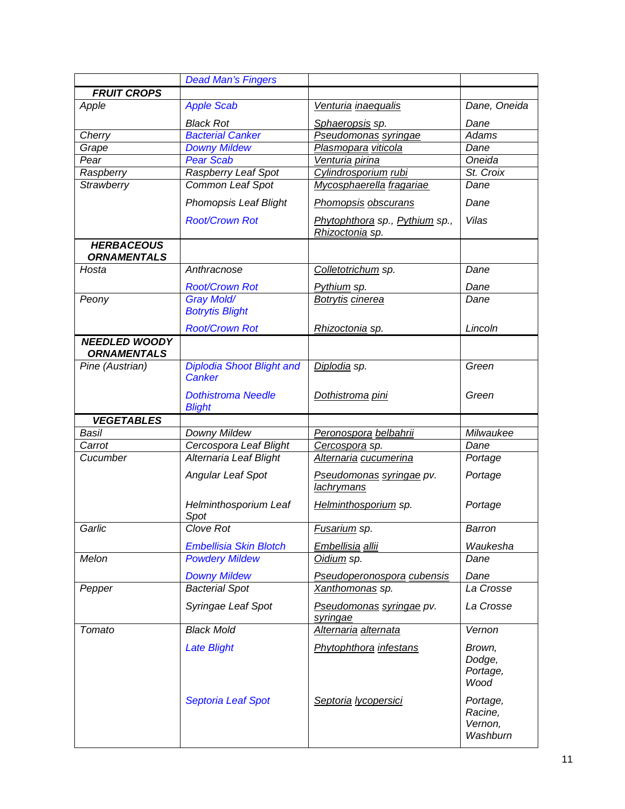|                                            | <b>Dead Man's Fingers</b>                         |                                                   |                                            |
|--------------------------------------------|---------------------------------------------------|---------------------------------------------------|--------------------------------------------|
| <b>FRUIT CROPS</b>                         |                                                   |                                                   |                                            |
| Apple                                      | <b>Apple Scab</b>                                 | Venturia inaequalis                               | Dane, Oneida                               |
|                                            | <b>Black Rot</b>                                  | Sphaeropsis sp.                                   | Dane                                       |
| Cherry                                     | <b>Bacterial Canker</b>                           | Pseudomonas syringae                              | <b>Adams</b>                               |
| Grape                                      | <b>Downy Mildew</b>                               | Plasmopara viticola                               | Dane                                       |
| Pear                                       | <b>Pear Scab</b>                                  | Venturia pirina                                   | Oneida                                     |
| Raspberry                                  | Raspberry Leaf Spot                               | Cylindrosporium rubi                              | St. Croix                                  |
| Strawberry                                 | Common Leaf Spot                                  | Mycosphaerella fragariae                          | Dane                                       |
|                                            | <b>Phomopsis Leaf Blight</b>                      | Phomopsis obscurans                               | Dane                                       |
|                                            | <b>Root/Crown Rot</b>                             | Phytophthora sp., Pythium sp.,<br>Rhizoctonia sp. | Vilas                                      |
| <b>HERBACEOUS</b><br><b>ORNAMENTALS</b>    |                                                   |                                                   |                                            |
| Hosta                                      | Anthracnose                                       | Colletotrichum sp.                                | Dane                                       |
|                                            | <b>Root/Crown Rot</b>                             | Pythium sp.                                       | Dane                                       |
| Peony                                      | <b>Gray Mold/</b><br><b>Botrytis Blight</b>       | <b>Botrytis cinerea</b>                           | Dane                                       |
|                                            | <b>Root/Crown Rot</b>                             | Rhizoctonia sp.                                   | Lincoln                                    |
| <b>NEEDLED WOODY</b><br><b>ORNAMENTALS</b> |                                                   |                                                   |                                            |
| Pine (Austrian)                            | <b>Diplodia Shoot Blight and</b><br><b>Canker</b> | Diplodia sp.                                      | Green                                      |
|                                            | <b>Dothistroma Needle</b><br><b>Blight</b>        | Dothistroma pini                                  | Green                                      |
| <b>VEGETABLES</b>                          |                                                   |                                                   |                                            |
| <b>Basil</b>                               | Downy Mildew                                      | Peronospora belbahrii                             | Milwaukee                                  |
| Carrot                                     | Cercospora Leaf Blight                            | Cercospora sp.                                    | Dane                                       |
| Cucumber                                   | Alternaria Leaf Blight                            | Alternaria cucumerina                             | Portage                                    |
|                                            | <b>Angular Leaf Spot</b>                          | Pseudomonas syringae pv.<br>lachrymans            | Portage                                    |
|                                            | Helminthosporium Leaf<br>Spot                     | Helminthosporium sp.                              | Portage                                    |
| Garlic                                     | Clove Rot                                         | Fusarium sp.                                      | Barron                                     |
|                                            | <b>Embellisia Skin Blotch</b>                     | Embellisia allii                                  | Waukesha                                   |
| Melon                                      | <b>Powdery Mildew</b>                             | Oidium sp.                                        | Dane                                       |
|                                            | <b>Downy Mildew</b>                               | Pseudoperonospora cubensis                        | Dane                                       |
| Pepper                                     | <b>Bacterial Spot</b>                             | Xanthomonas sp.                                   | La Crosse                                  |
|                                            | Syringae Leaf Spot                                | Pseudomonas syringae pv.<br>syringae              | La Crosse                                  |
| Tomato                                     | <b>Black Mold</b>                                 | Alternaria alternata                              | Vernon                                     |
|                                            | <b>Late Blight</b>                                | <b>Phytophthora</b> infestans                     | Brown,<br>Dodge,<br>Portage,<br>Wood       |
|                                            | <b>Septoria Leaf Spot</b>                         | Septoria lycopersici                              | Portage,<br>Racine,<br>Vernon,<br>Washburn |